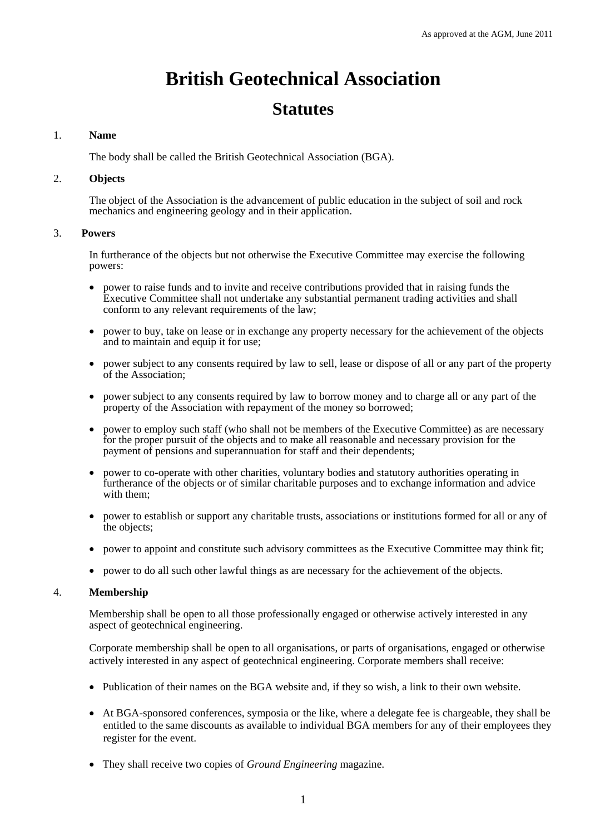# **British Geotechnical Association**

# **Statutes**

# 1. **Name**

The body shall be called the British Geotechnical Association (BGA).

# 2. **Objects**

The object of the Association is the advancement of public education in the subject of soil and rock mechanics and engineering geology and in their application.

# 3. **Powers**

In furtherance of the objects but not otherwise the Executive Committee may exercise the following powers:

- power to raise funds and to invite and receive contributions provided that in raising funds the Executive Committee shall not undertake any substantial permanent trading activities and shall conform to any relevant requirements of the law;
- power to buy, take on lease or in exchange any property necessary for the achievement of the objects and to maintain and equip it for use;
- power subject to any consents required by law to sell, lease or dispose of all or any part of the property of the Association;
- power subject to any consents required by law to borrow money and to charge all or any part of the property of the Association with repayment of the money so borrowed;
- power to employ such staff (who shall not be members of the Executive Committee) as are necessary for the proper pursuit of the objects and to make all reasonable and necessary provision for the payment of pensions and superannuation for staff and their dependents;
- power to co-operate with other charities, voluntary bodies and statutory authorities operating in furtherance of the objects or of similar charitable purposes and to exchange information and advice with them;
- power to establish or support any charitable trusts, associations or institutions formed for all or any of the objects;
- power to appoint and constitute such advisory committees as the Executive Committee may think fit;
- power to do all such other lawful things as are necessary for the achievement of the objects.

## 4. **Membership**

Membership shall be open to all those professionally engaged or otherwise actively interested in any aspect of geotechnical engineering.

Corporate membership shall be open to all organisations, or parts of organisations, engaged or otherwise actively interested in any aspect of geotechnical engineering. Corporate members shall receive:

- Publication of their names on the BGA website and, if they so wish, a link to their own website.
- At BGA-sponsored conferences, symposia or the like, where a delegate fee is chargeable, they shall be entitled to the same discounts as available to individual BGA members for any of their employees they register for the event.
- They shall receive two copies of *Ground Engineering* magazine.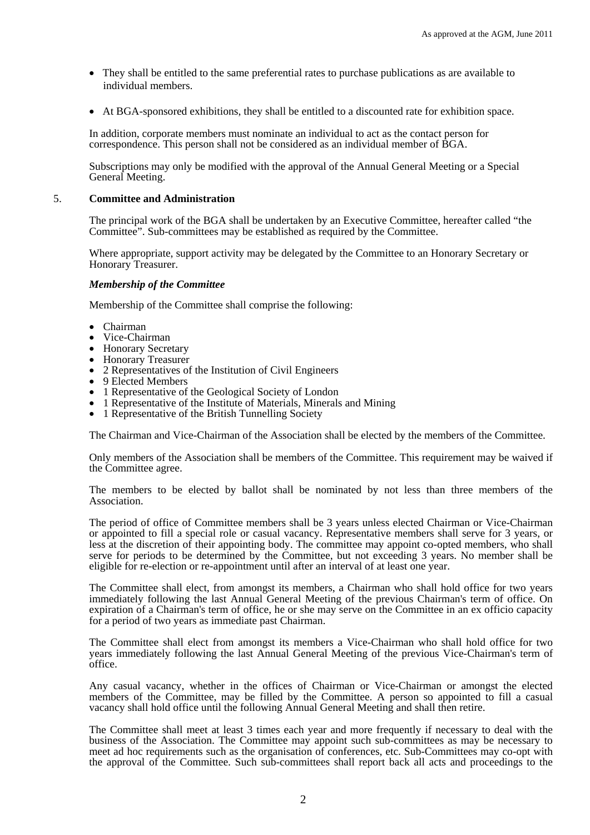- They shall be entitled to the same preferential rates to purchase publications as are available to individual members.
- At BGA-sponsored exhibitions, they shall be entitled to a discounted rate for exhibition space.

In addition, corporate members must nominate an individual to act as the contact person for correspondence. This person shall not be considered as an individual member of BGA.

Subscriptions may only be modified with the approval of the Annual General Meeting or a Special General Meeting.

#### 5. **Committee and Administration**

The principal work of the BGA shall be undertaken by an Executive Committee, hereafter called "the Committee". Sub-committees may be established as required by the Committee.

Where appropriate, support activity may be delegated by the Committee to an Honorary Secretary or Honorary Treasurer.

#### *Membership of the Committee*

Membership of the Committee shall comprise the following:

- 
- Chairman<br>• Vice-Chairman
- 
- 
- Honorary Secretary<br>• Honorary Treasurer<br>• 2 Representatives of the Institution of Civil Engineers<br>• 9 Elected Members
- 
- 1 Representative of the Geological Society of London
- 1 Representative of the Institute of Materials, Minerals and Mining
- 1 Representative of the British Tunnelling Society

The Chairman and Vice-Chairman of the Association shall be elected by the members of the Committee.

Only members of the Association shall be members of the Committee. This requirement may be waived if the Committee agree.

The members to be elected by ballot shall be nominated by not less than three members of the Association.

The period of office of Committee members shall be 3 years unless elected Chairman or Vice-Chairman or appointed to fill a special role or casual vacancy. Representative members shall serve for 3 years, or less at the discretion of their appointing body. The committee may appoint co-opted members, who shall serve for periods to be determined by the Committee, but not exceeding 3 years. No member shall be eligible for re-election or re-appointment until after an interval of at least one year.

The Committee shall elect, from amongst its members, a Chairman who shall hold office for two years immediately following the last Annual General Meeting of the previous Chairman's term of office. On expiration of a Chairman's term of office, he or she may serve on the Committee in an ex officio capacity for a period of two years as immediate past Chairman.

The Committee shall elect from amongst its members a Vice-Chairman who shall hold office for two years immediately following the last Annual General Meeting of the previous Vice-Chairman's term of office.

Any casual vacancy, whether in the offices of Chairman or Vice-Chairman or amongst the elected members of the Committee, may be filled by the Committee. A person so appointed to fill a casual vacancy shall hold office until the following Annual General Meeting and shall then retire.

The Committee shall meet at least 3 times each year and more frequently if necessary to deal with the business of the Association. The Committee may appoint such sub-committees as may be necessary to meet ad hoc requirements such as the organisation of conferences, etc. Sub-Committees may co-opt with the approval of the Committee. Such sub-committees shall report back all acts and proceedings to the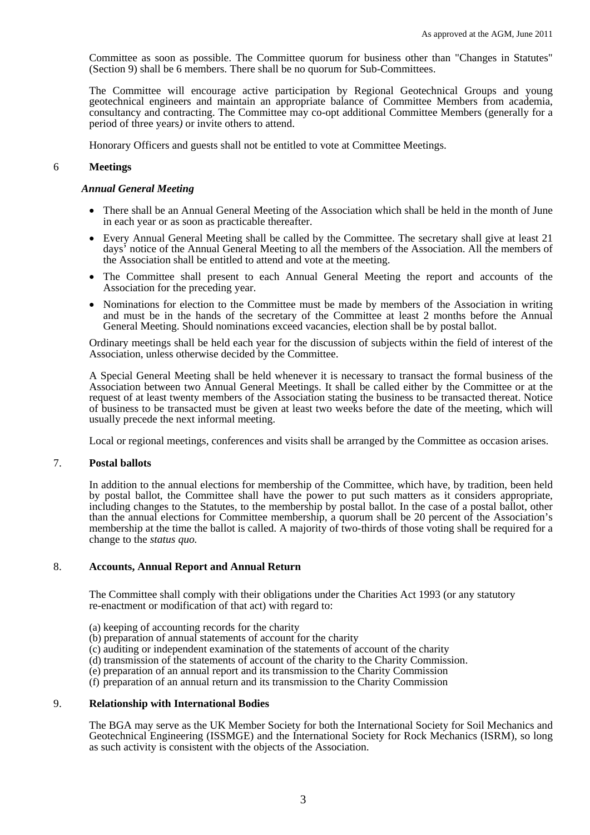Committee as soon as possible. The Committee quorum for business other than "Changes in Statutes" (Section 9) shall be 6 members. There shall be no quorum for Sub-Committees.

The Committee will encourage active participation by Regional Geotechnical Groups and young geotechnical engineers and maintain an appropriate balance of Committee Members from academia, consultancy and contracting. The Committee may co-opt additional Committee Members (generally for a period of three years*)* or invite others to attend.

Honorary Officers and guests shall not be entitled to vote at Committee Meetings.

## 6 **Meetings**

#### *Annual General Meeting*

- There shall be an Annual General Meeting of the Association which shall be held in the month of June in each year or as soon as practicable thereafter.
- Every Annual General Meeting shall be called by the Committee. The secretary shall give at least 21 days' notice of the Annual General Meeting to all the members of the Association. All the members of the Association shall be entitled to attend and vote at the meeting.
- The Committee shall present to each Annual General Meeting the report and accounts of the Association for the preceding year.
- Nominations for election to the Committee must be made by members of the Association in writing and must be in the hands of the secretary of the Committee at least 2 months before the Annual General Meeting. Should nominations exceed vacancies, election shall be by postal ballot.

Ordinary meetings shall be held each year for the discussion of subjects within the field of interest of the Association, unless otherwise decided by the Committee.

A Special General Meeting shall be held whenever it is necessary to transact the formal business of the Association between two Annual General Meetings. It shall be called either by the Committee or at the request of at least twenty members of the Association stating the business to be transacted thereat. Notice of business to be transacted must be given at least two weeks before the date of the meeting, which will usually precede the next informal meeting.

Local or regional meetings, conferences and visits shall be arranged by the Committee as occasion arises.

# 7. **Postal ballots**

In addition to the annual elections for membership of the Committee, which have, by tradition, been held by postal ballot, the Committee shall have the power to put such matters as it considers appropriate, including changes to the Statutes, to the membership by postal ballot. In the case of a postal ballot, other than the annual elections for Committee membership, a quorum shall be 20 percent of the Association's membership at the time the ballot is called. A majority of two-thirds of those voting shall be required for a change to the *status quo.* 

## 8. **Accounts, Annual Report and Annual Return**

The Committee shall comply with their obligations under the Charities Act 1993 (or any statutory re-enactment or modification of that act) with regard to:

- (a) keeping of accounting records for the charity
- (b) preparation of annual statements of account for the charity
- (c) auditing or independent examination of the statements of account of the charity
- (d) transmission of the statements of account of the charity to the Charity Commission.
- (e) preparation of an annual report and its transmission to the Charity Commission
- (f) preparation of an annual return and its transmission to the Charity Commission

#### 9. **Relationship with International Bodies**

The BGA may serve as the UK Member Society for both the International Society for Soil Mechanics and Geotechnical Engineering (ISSMGE) and the International Society for Rock Mechanics (ISRM), so long as such activity is consistent with the objects of the Association.